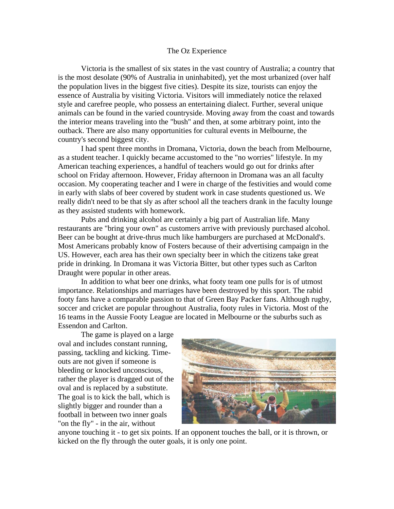## The Oz Experience

Victoria is the smallest of six states in the vast country of Australia; a country that is the most desolate (90% of Australia in uninhabited), yet the most urbanized (over half the population lives in the biggest five cities). Despite its size, tourists can enjoy the essence of Australia by visiting Victoria. Visitors will immediately notice the relaxed style and carefree people, who possess an entertaining dialect. Further, several unique animals can be found in the varied countryside. Moving away from the coast and towards the interior means traveling into the "bush" and then, at some arbitrary point, into the outback. There are also many opportunities for cultural events in Melbourne, the country's second biggest city.

I had spent three months in Dromana, Victoria, down the beach from Melbourne, as a student teacher. I quickly became accustomed to the "no worries" lifestyle. In my American teaching experiences, a handful of teachers would go out for drinks after school on Friday afternoon. However, Friday afternoon in Dromana was an all faculty occasion. My cooperating teacher and I were in charge of the festivities and would come in early with slabs of beer covered by student work in case students questioned us. We really didn't need to be that sly as after school all the teachers drank in the faculty lounge as they assisted students with homework.

Pubs and drinking alcohol are certainly a big part of Australian life. Many restaurants are "bring your own" as customers arrive with previously purchased alcohol. Beer can be bought at drive-thrus much like hamburgers are purchased at McDonald's. Most Americans probably know of Fosters because of their advertising campaign in the US. However, each area has their own specialty beer in which the citizens take great pride in drinking. In Dromana it was Victoria Bitter, but other types such as Carlton Draught were popular in other areas.

In addition to what beer one drinks, what footy team one pulls for is of utmost importance. Relationships and marriages have been destroyed by this sport. The rabid footy fans have a comparable passion to that of Green Bay Packer fans. Although rugby, soccer and cricket are popular throughout Australia, footy rules in Victoria. Most of the 16 teams in the Aussie Footy League are located in Melbourne or the suburbs such as Essendon and Carlton.

The game is played on a large oval and includes constant running, passing, tackling and kicking. Timeouts are not given if someone is bleeding or knocked unconscious, rather the player is dragged out of the oval and is replaced by a substitute. The goal is to kick the ball, which is slightly bigger and rounder than a football in between two inner goals "on the fly" - in the air, without



anyone touching it - to get six points. If an opponent touches the ball, or it is thrown, or kicked on the fly through the outer goals, it is only one point.